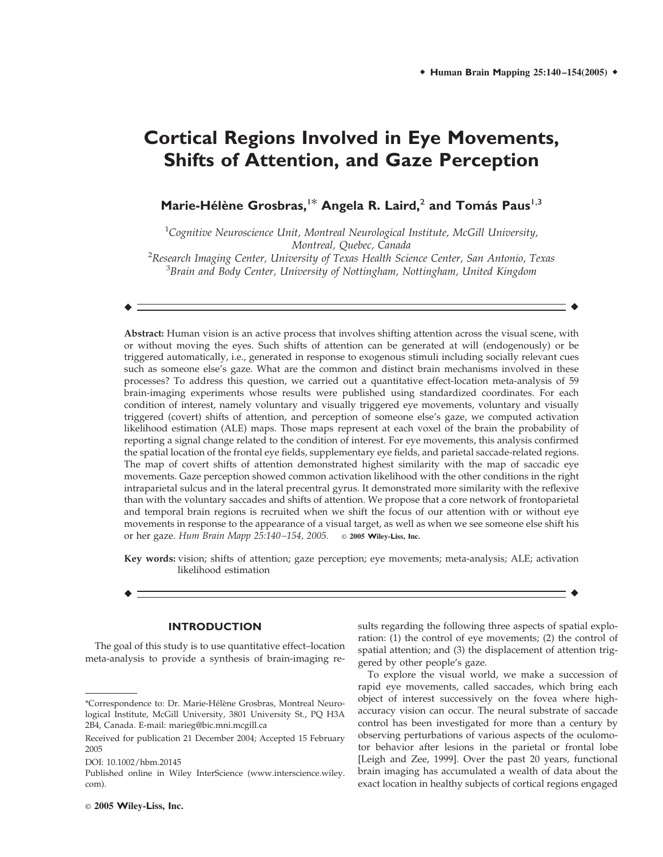# **Cortical Regions Involved in Eye Movements, Shifts of Attention, and Gaze Perception**

**Marie-Hélène Grosbras, <sup>1\*</sup> Angela R. Laird,<sup>2</sup> and Tomás Paus<sup>1,3</sup>** 

1 *Cognitive Neuroscience Unit, Montreal Neurological Institute, McGill University, Montreal, Quebec, Canada* <sup>2</sup> *Research Imaging Center, University of Texas Health Science Center, San Antonio, Texas*

3 *Brain and Body Center, University of Nottingham, Nottingham, United Kingdom*

 $\blacklozenge$  . In the contract of the contract of the contract of the contract of the contract of the contract of the contract of the contract of the contract of the contract of the contract of the contract of the contract of

**Abstract:** Human vision is an active process that involves shifting attention across the visual scene, with or without moving the eyes. Such shifts of attention can be generated at will (endogenously) or be triggered automatically, i.e., generated in response to exogenous stimuli including socially relevant cues such as someone else's gaze. What are the common and distinct brain mechanisms involved in these processes? To address this question, we carried out a quantitative effect-location meta-analysis of 59 brain-imaging experiments whose results were published using standardized coordinates. For each condition of interest, namely voluntary and visually triggered eye movements, voluntary and visually triggered (covert) shifts of attention, and perception of someone else's gaze, we computed activation likelihood estimation (ALE) maps. Those maps represent at each voxel of the brain the probability of reporting a signal change related to the condition of interest. For eye movements, this analysis confirmed the spatial location of the frontal eye fields, supplementary eye fields, and parietal saccade-related regions. The map of covert shifts of attention demonstrated highest similarity with the map of saccadic eye movements. Gaze perception showed common activation likelihood with the other conditions in the right intraparietal sulcus and in the lateral precentral gyrus. It demonstrated more similarity with the reflexive than with the voluntary saccades and shifts of attention. We propose that a core network of frontoparietal and temporal brain regions is recruited when we shift the focus of our attention with or without eye movements in response to the appearance of a visual target, as well as when we see someone else shift his or her gaze. *Hum Brain Mapp 25:140–154, 2005.* © **2005 Wiley-Liss, Inc.**

**Key words:** vision; shifts of attention; gaze perception; eye movements; meta-analysis; ALE; activation likelihood estimation

 $\blacklozenge$  . In the contract of the contract of the contract of the contract of the contract of the contract of the contract of the contract of the contract of the contract of the contract of the contract of the contract of

# **INTRODUCTION**

The goal of this study is to use quantitative effect–location meta-analysis to provide a synthesis of brain-imaging re-

DOI: 10.1002/hbm.20145

sults regarding the following three aspects of spatial exploration: (1) the control of eye movements; (2) the control of spatial attention; and (3) the displacement of attention triggered by other people's gaze.

To explore the visual world, we make a succession of rapid eye movements, called saccades, which bring each object of interest successively on the fovea where highaccuracy vision can occur. The neural substrate of saccade control has been investigated for more than a century by observing perturbations of various aspects of the oculomotor behavior after lesions in the parietal or frontal lobe [Leigh and Zee, 1999]. Over the past 20 years, functional brain imaging has accumulated a wealth of data about the exact location in healthy subjects of cortical regions engaged

<sup>\*</sup>Correspondence to: Dr. Marie-Hélène Grosbras, Montreal Neurological Institute, McGill University, 3801 University St., PQ H3A 2B4, Canada. E-mail: marieg@bic.mni.mcgill.ca

Received for publication 21 December 2004; Accepted 15 February 2005

Published online in Wiley InterScience (www.interscience.wiley. com).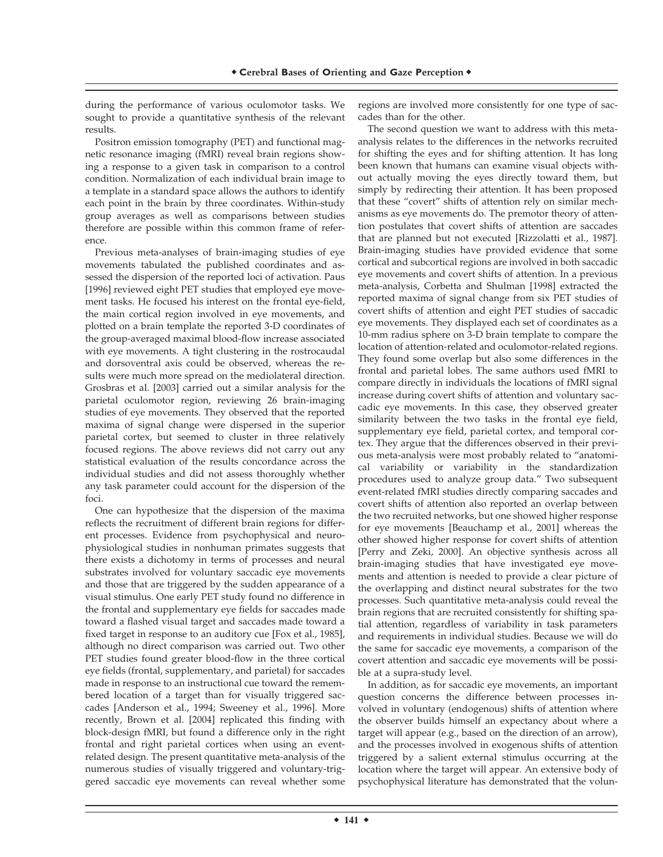during the performance of various oculomotor tasks. We sought to provide a quantitative synthesis of the relevant results.

Positron emission tomography (PET) and functional magnetic resonance imaging (fMRI) reveal brain regions showing a response to a given task in comparison to a control condition. Normalization of each individual brain image to a template in a standard space allows the authors to identify each point in the brain by three coordinates. Within-study group averages as well as comparisons between studies therefore are possible within this common frame of reference.

Previous meta-analyses of brain-imaging studies of eye movements tabulated the published coordinates and assessed the dispersion of the reported loci of activation. Paus [1996] reviewed eight PET studies that employed eye movement tasks. He focused his interest on the frontal eye-field, the main cortical region involved in eye movements, and plotted on a brain template the reported 3-D coordinates of the group-averaged maximal blood-flow increase associated with eye movements. A tight clustering in the rostrocaudal and dorsoventral axis could be observed, whereas the results were much more spread on the mediolateral direction. Grosbras et al. [2003] carried out a similar analysis for the parietal oculomotor region, reviewing 26 brain-imaging studies of eye movements. They observed that the reported maxima of signal change were dispersed in the superior parietal cortex, but seemed to cluster in three relatively focused regions. The above reviews did not carry out any statistical evaluation of the results concordance across the individual studies and did not assess thoroughly whether any task parameter could account for the dispersion of the foci.

One can hypothesize that the dispersion of the maxima reflects the recruitment of different brain regions for different processes. Evidence from psychophysical and neurophysiological studies in nonhuman primates suggests that there exists a dichotomy in terms of processes and neural substrates involved for voluntary saccadic eye movements and those that are triggered by the sudden appearance of a visual stimulus. One early PET study found no difference in the frontal and supplementary eye fields for saccades made toward a flashed visual target and saccades made toward a fixed target in response to an auditory cue [Fox et al., 1985], although no direct comparison was carried out. Two other PET studies found greater blood-flow in the three cortical eye fields (frontal, supplementary, and parietal) for saccades made in response to an instructional cue toward the remembered location of a target than for visually triggered saccades [Anderson et al., 1994; Sweeney et al., 1996]. More recently, Brown et al. [2004] replicated this finding with block-design fMRI, but found a difference only in the right frontal and right parietal cortices when using an eventrelated design. The present quantitative meta-analysis of the numerous studies of visually triggered and voluntary-triggered saccadic eye movements can reveal whether some

regions are involved more consistently for one type of saccades than for the other.

The second question we want to address with this metaanalysis relates to the differences in the networks recruited for shifting the eyes and for shifting attention. It has long been known that humans can examine visual objects without actually moving the eyes directly toward them, but simply by redirecting their attention. It has been proposed that these "covert" shifts of attention rely on similar mechanisms as eye movements do. The premotor theory of attention postulates that covert shifts of attention are saccades that are planned but not executed [Rizzolatti et al., 1987]. Brain-imaging studies have provided evidence that some cortical and subcortical regions are involved in both saccadic eye movements and covert shifts of attention. In a previous meta-analysis, Corbetta and Shulman [1998] extracted the reported maxima of signal change from six PET studies of covert shifts of attention and eight PET studies of saccadic eye movements. They displayed each set of coordinates as a 10-mm radius sphere on 3-D brain template to compare the location of attention-related and oculomotor-related regions. They found some overlap but also some differences in the frontal and parietal lobes. The same authors used fMRI to compare directly in individuals the locations of fMRI signal increase during covert shifts of attention and voluntary saccadic eye movements. In this case, they observed greater similarity between the two tasks in the frontal eye field, supplementary eye field, parietal cortex, and temporal cortex. They argue that the differences observed in their previous meta-analysis were most probably related to "anatomical variability or variability in the standardization procedures used to analyze group data." Two subsequent event-related fMRI studies directly comparing saccades and covert shifts of attention also reported an overlap between the two recruited networks, but one showed higher response for eye movements [Beauchamp et al., 2001] whereas the other showed higher response for covert shifts of attention [Perry and Zeki, 2000]. An objective synthesis across all brain-imaging studies that have investigated eye movements and attention is needed to provide a clear picture of the overlapping and distinct neural substrates for the two processes. Such quantitative meta-analysis could reveal the brain regions that are recruited consistently for shifting spatial attention, regardless of variability in task parameters and requirements in individual studies. Because we will do the same for saccadic eye movements, a comparison of the covert attention and saccadic eye movements will be possible at a supra-study level.

In addition, as for saccadic eye movements, an important question concerns the difference between processes involved in voluntary (endogenous) shifts of attention where the observer builds himself an expectancy about where a target will appear (e.g., based on the direction of an arrow), and the processes involved in exogenous shifts of attention triggered by a salient external stimulus occurring at the location where the target will appear. An extensive body of psychophysical literature has demonstrated that the volun-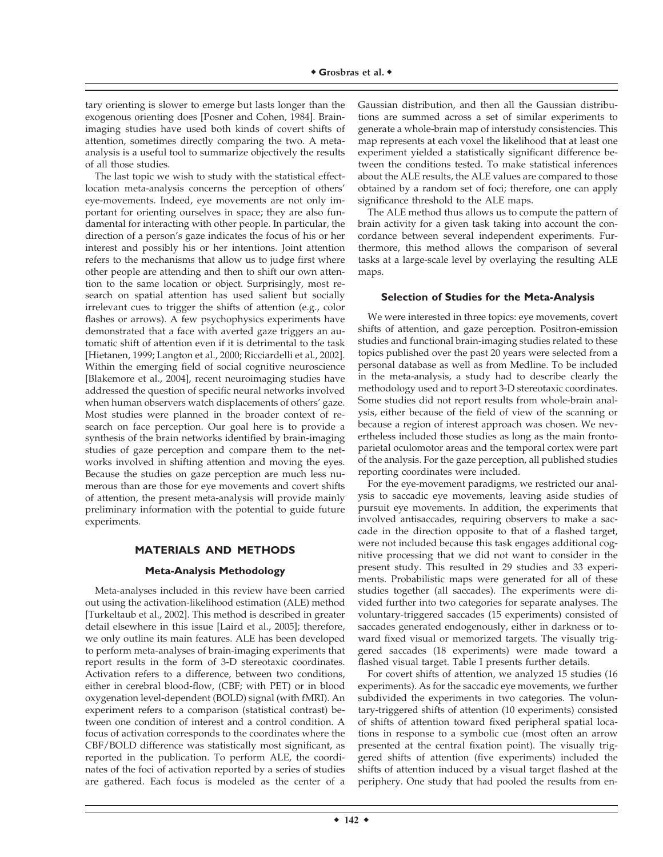tary orienting is slower to emerge but lasts longer than the exogenous orienting does [Posner and Cohen, 1984]. Brainimaging studies have used both kinds of covert shifts of attention, sometimes directly comparing the two. A metaanalysis is a useful tool to summarize objectively the results of all those studies.

The last topic we wish to study with the statistical effectlocation meta-analysis concerns the perception of others' eye-movements. Indeed, eye movements are not only important for orienting ourselves in space; they are also fundamental for interacting with other people. In particular, the direction of a person's gaze indicates the focus of his or her interest and possibly his or her intentions. Joint attention refers to the mechanisms that allow us to judge first where other people are attending and then to shift our own attention to the same location or object. Surprisingly, most research on spatial attention has used salient but socially irrelevant cues to trigger the shifts of attention (e.g., color flashes or arrows). A few psychophysics experiments have demonstrated that a face with averted gaze triggers an automatic shift of attention even if it is detrimental to the task [Hietanen, 1999; Langton et al., 2000; Ricciardelli et al., 2002]. Within the emerging field of social cognitive neuroscience [Blakemore et al., 2004], recent neuroimaging studies have addressed the question of specific neural networks involved when human observers watch displacements of others' gaze. Most studies were planned in the broader context of research on face perception. Our goal here is to provide a synthesis of the brain networks identified by brain-imaging studies of gaze perception and compare them to the networks involved in shifting attention and moving the eyes. Because the studies on gaze perception are much less numerous than are those for eye movements and covert shifts of attention, the present meta-analysis will provide mainly preliminary information with the potential to guide future experiments.

# **MATERIALS AND METHODS**

# **Meta-Analysis Methodology**

Meta-analyses included in this review have been carried out using the activation-likelihood estimation (ALE) method [Turkeltaub et al., 2002]. This method is described in greater detail elsewhere in this issue [Laird et al., 2005]; therefore, we only outline its main features. ALE has been developed to perform meta-analyses of brain-imaging experiments that report results in the form of 3-D stereotaxic coordinates. Activation refers to a difference, between two conditions, either in cerebral blood-flow, (CBF; with PET) or in blood oxygenation level-dependent (BOLD) signal (with fMRI). An experiment refers to a comparison (statistical contrast) between one condition of interest and a control condition. A focus of activation corresponds to the coordinates where the CBF/BOLD difference was statistically most significant, as reported in the publication. To perform ALE, the coordinates of the foci of activation reported by a series of studies are gathered. Each focus is modeled as the center of a

Gaussian distribution, and then all the Gaussian distributions are summed across a set of similar experiments to generate a whole-brain map of interstudy consistencies. This map represents at each voxel the likelihood that at least one experiment yielded a statistically significant difference between the conditions tested. To make statistical inferences about the ALE results, the ALE values are compared to those obtained by a random set of foci; therefore, one can apply significance threshold to the ALE maps.

The ALE method thus allows us to compute the pattern of brain activity for a given task taking into account the concordance between several independent experiments. Furthermore, this method allows the comparison of several tasks at a large-scale level by overlaying the resulting ALE maps.

# **Selection of Studies for the Meta-Analysis**

We were interested in three topics: eye movements, covert shifts of attention, and gaze perception. Positron-emission studies and functional brain-imaging studies related to these topics published over the past 20 years were selected from a personal database as well as from Medline. To be included in the meta-analysis, a study had to describe clearly the methodology used and to report 3-D stereotaxic coordinates. Some studies did not report results from whole-brain analysis, either because of the field of view of the scanning or because a region of interest approach was chosen. We nevertheless included those studies as long as the main frontoparietal oculomotor areas and the temporal cortex were part of the analysis. For the gaze perception, all published studies reporting coordinates were included.

For the eye-movement paradigms, we restricted our analysis to saccadic eye movements, leaving aside studies of pursuit eye movements. In addition, the experiments that involved antisaccades, requiring observers to make a saccade in the direction opposite to that of a flashed target, were not included because this task engages additional cognitive processing that we did not want to consider in the present study. This resulted in 29 studies and 33 experiments. Probabilistic maps were generated for all of these studies together (all saccades). The experiments were divided further into two categories for separate analyses. The voluntary-triggered saccades (15 experiments) consisted of saccades generated endogenously, either in darkness or toward fixed visual or memorized targets. The visually triggered saccades (18 experiments) were made toward a flashed visual target. Table I presents further details.

For covert shifts of attention, we analyzed 15 studies (16 experiments). As for the saccadic eye movements, we further subdivided the experiments in two categories. The voluntary-triggered shifts of attention (10 experiments) consisted of shifts of attention toward fixed peripheral spatial locations in response to a symbolic cue (most often an arrow presented at the central fixation point). The visually triggered shifts of attention (five experiments) included the shifts of attention induced by a visual target flashed at the periphery. One study that had pooled the results from en-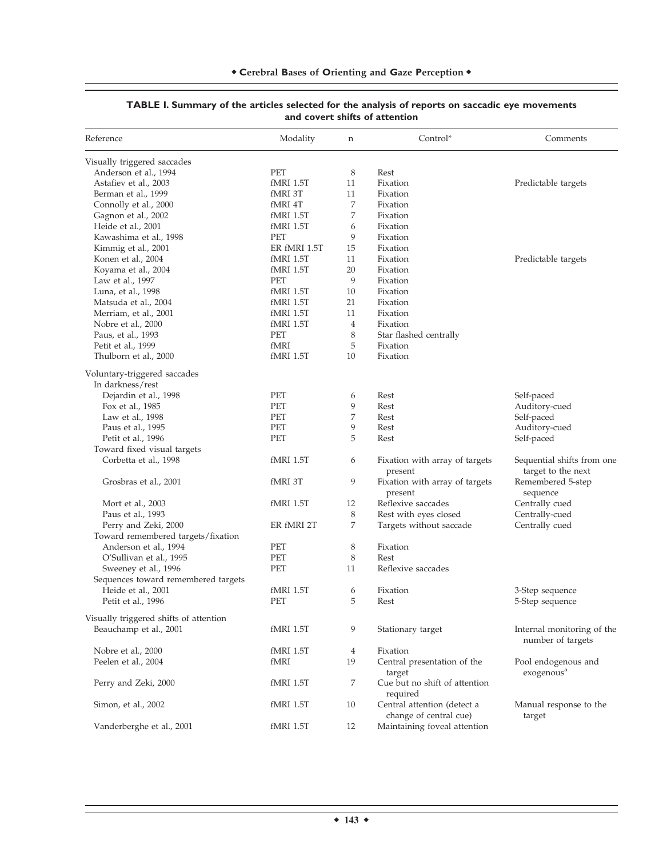| Reference                              | Modality         | n              | Control*                                              | Comments                                         |
|----------------------------------------|------------------|----------------|-------------------------------------------------------|--------------------------------------------------|
| Visually triggered saccades            |                  |                |                                                       |                                                  |
| Anderson et al., 1994                  | PET              | 8              | Rest                                                  |                                                  |
| Astafiev et al., 2003                  | fMRI 1.5T        | 11             | Fixation                                              | Predictable targets                              |
| Berman et al., 1999                    | fMRI 3T          | 11             | Fixation                                              |                                                  |
| Connolly et al., 2000                  | fMRI 4T          | 7              | Fixation                                              |                                                  |
| Gagnon et al., 2002                    | fMRI 1.5T        | 7              | Fixation                                              |                                                  |
| Heide et al., 2001                     | fMRI 1.5T        | 6              | Fixation                                              |                                                  |
| Kawashima et al., 1998                 | PET              | 9              | Fixation                                              |                                                  |
| Kimmig et al., 2001                    | ER fMRI 1.5T     | 15             | Fixation                                              |                                                  |
| Konen et al., 2004                     | fMRI 1.5T        | 11             | Fixation                                              | Predictable targets                              |
| Koyama et al., 2004                    | fMRI 1.5T        | 20             | Fixation                                              |                                                  |
| Law et al., 1997                       | PET              | 9              | Fixation                                              |                                                  |
| Luna, et al., 1998                     | fMRI 1.5T        | 10             | Fixation                                              |                                                  |
| Matsuda et al., 2004                   | fMRI 1.5T        | 21             | Fixation                                              |                                                  |
| Merriam, et al., 2001                  | fMRI 1.5T        | 11             | Fixation                                              |                                                  |
| Nobre et al., 2000                     | <b>fMRI 1.5T</b> | $\overline{4}$ | Fixation                                              |                                                  |
| Paus, et al., 1993                     | PET              | 8              | Star flashed centrally                                |                                                  |
| Petit et al., 1999                     | fMRI             | 5              | Fixation                                              |                                                  |
| Thulborn et al., 2000                  | fMRI 1.5T        | 10             | Fixation                                              |                                                  |
| Voluntary-triggered saccades           |                  |                |                                                       |                                                  |
| In darkness/rest                       |                  |                |                                                       |                                                  |
| Dejardin et al., 1998                  | PET              | 6              | Rest                                                  | Self-paced                                       |
| Fox et al., 1985                       | PET              | 9              | Rest                                                  | Auditory-cued                                    |
| Law et al., 1998                       | PET              | 7              | Rest                                                  | Self-paced                                       |
| Paus et al., 1995                      | PET              | 9              | Rest                                                  | Auditory-cued                                    |
| Petit et al., 1996                     | PET              | 5              | Rest                                                  | Self-paced                                       |
| Toward fixed visual targets            |                  |                |                                                       |                                                  |
| Corbetta et al., 1998                  | fMRI 1.5T        | 6              | Fixation with array of targets<br>present             | Sequential shifts from one<br>target to the next |
| Grosbras et al., 2001                  | fMRI 3T          | 9              | Fixation with array of targets<br>present             | Remembered 5-step<br>sequence                    |
| Mort et al., 2003                      | fMRI 1.5T        | 12             | Reflexive saccades                                    | Centrally cued                                   |
| Paus et al., 1993                      |                  | $\,8\,$        | Rest with eyes closed                                 | Centrally-cued                                   |
| Perry and Zeki, 2000                   | ER fMRI 2T       | 7              | Targets without saccade                               | Centrally cued                                   |
| Toward remembered targets/fixation     |                  |                |                                                       |                                                  |
| Anderson et al., 1994                  | PET              | 8              | Fixation                                              |                                                  |
| O'Sullivan et al., 1995                | PET              | 8              | Rest                                                  |                                                  |
| Sweeney et al., 1996                   | PET              | 11             | Reflexive saccades                                    |                                                  |
| Sequences toward remembered targets    |                  |                |                                                       |                                                  |
| Heide et al., 2001                     | fMRI 1.5T        | 6              | Fixation                                              | 3-Step sequence                                  |
| Petit et al., 1996                     | <b>PET</b>       | 5              | Rest                                                  | 5-Step sequence                                  |
| Visually triggered shifts of attention |                  |                |                                                       |                                                  |
| Beauchamp et al., 2001                 | fMRI 1.5T        | 9              | Stationary target                                     | Internal monitoring of the                       |
|                                        |                  |                |                                                       | number of targets                                |
| Nobre et al., 2000                     | fMRI 1.5T        | 4              | Fixation                                              |                                                  |
| Peelen et al., 2004                    | fMRI             | 19             | Central presentation of the<br>target                 | Pool endogenous and<br>exogenous <sup>a</sup>    |
| Perry and Zeki, 2000                   | fMRI 1.5T        | 7              | Cue but no shift of attention<br>required             |                                                  |
| Simon, et al., 2002                    | fMRI 1.5T        | 10             | Central attention (detect a<br>change of central cue) | Manual response to the<br>target                 |
| Vanderberghe et al., 2001              | fMRI 1.5T        | 12             | Maintaining foveal attention                          |                                                  |

#### **TABLE I. Summary of the articles selected for the analysis of reports on saccadic eye movements and covert shifts of attention**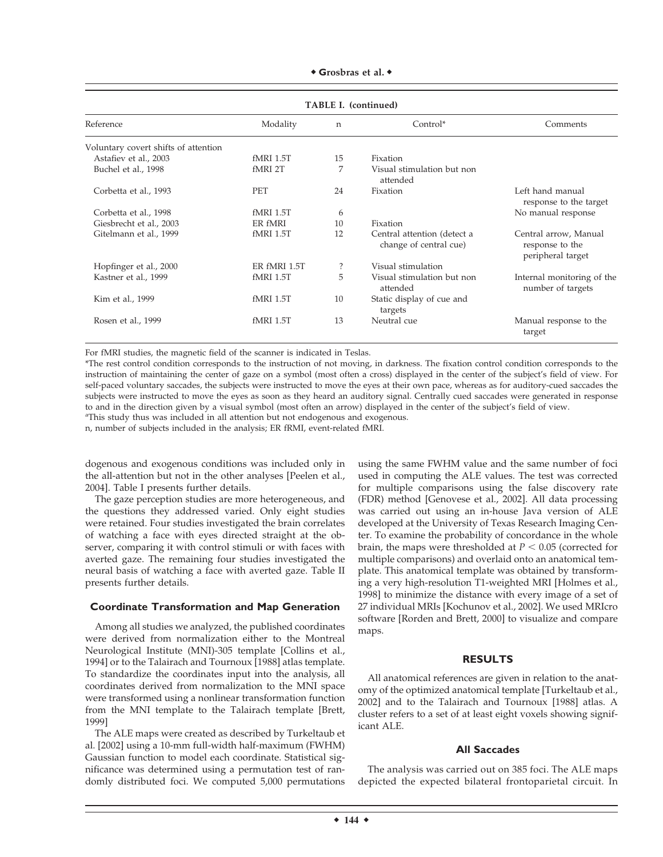| TABLE I. (continued)                 |                  |    |                                                       |                                                               |
|--------------------------------------|------------------|----|-------------------------------------------------------|---------------------------------------------------------------|
| Reference                            | Modality         | n  | Control*                                              | Comments                                                      |
| Voluntary covert shifts of attention |                  |    |                                                       |                                                               |
| Astafiev et al., 2003                | $fMRI$ 1.5T      | 15 | Fixation                                              |                                                               |
| Buchel et al., 1998                  | fMRI 2T          | 7  | Visual stimulation but non<br>attended                |                                                               |
| Corbetta et al., 1993                | PET              | 24 | Fixation                                              | Left hand manual<br>response to the target                    |
| Corbetta et al., 1998                | <b>fMRI</b> 1.5T | 6  |                                                       | No manual response                                            |
| Giesbrecht et al., 2003              | ER fMRI          | 10 | Fixation                                              |                                                               |
| Gitelmann et al., 1999               | <b>fMRI</b> 1.5T | 12 | Central attention (detect a<br>change of central cue) | Central arrow, Manual<br>response to the<br>peripheral target |
| Hopfinger et al., 2000               | ER fMRI 1.5T     | ?  | Visual stimulation                                    |                                                               |
| Kastner et al., 1999                 | <b>fMRI</b> 1.5T | 5  | Visual stimulation but non<br>attended                | Internal monitoring of the<br>number of targets               |
| Kim et al., 1999                     | <b>fMRI</b> 1.5T | 10 | Static display of cue and<br>targets                  |                                                               |
| Rosen et al., 1999                   | <b>fMRI 1.5T</b> | 13 | Neutral cue                                           | Manual response to the<br>target                              |

For fMRI studies, the magnetic field of the scanner is indicated in Teslas.

\*The rest control condition corresponds to the instruction of not moving, in darkness. The fixation control condition corresponds to the instruction of maintaining the center of gaze on a symbol (most often a cross) displayed in the center of the subject's field of view. For self-paced voluntary saccades, the subjects were instructed to move the eyes at their own pace, whereas as for auditory-cued saccades the subjects were instructed to move the eyes as soon as they heard an auditory signal. Centrally cued saccades were generated in response to and in the direction given by a visual symbol (most often an arrow) displayed in the center of the subject's field of view.

<sup>a</sup>This study thus was included in all attention but not endogenous and exogenous.

n, number of subjects included in the analysis; ER fRMI, event-related fMRI.

dogenous and exogenous conditions was included only in the all-attention but not in the other analyses [Peelen et al., 2004]. Table I presents further details.

The gaze perception studies are more heterogeneous, and the questions they addressed varied. Only eight studies were retained. Four studies investigated the brain correlates of watching a face with eyes directed straight at the observer, comparing it with control stimuli or with faces with averted gaze. The remaining four studies investigated the neural basis of watching a face with averted gaze. Table II presents further details.

#### **Coordinate Transformation and Map Generation**

Among all studies we analyzed, the published coordinates were derived from normalization either to the Montreal Neurological Institute (MNI)-305 template [Collins et al., 1994] or to the Talairach and Tournoux [1988] atlas template. To standardize the coordinates input into the analysis, all coordinates derived from normalization to the MNI space were transformed using a nonlinear transformation function from the MNI template to the Talairach template [Brett, 1999]

The ALE maps were created as described by Turkeltaub et al. [2002] using a 10-mm full-width half-maximum (FWHM) Gaussian function to model each coordinate. Statistical significance was determined using a permutation test of randomly distributed foci. We computed 5,000 permutations

using the same FWHM value and the same number of foci used in computing the ALE values. The test was corrected for multiple comparisons using the false discovery rate (FDR) method [Genovese et al., 2002]. All data processing was carried out using an in-house Java version of ALE developed at the University of Texas Research Imaging Center. To examine the probability of concordance in the whole brain, the maps were thresholded at  $P < 0.05$  (corrected for multiple comparisons) and overlaid onto an anatomical template. This anatomical template was obtained by transforming a very high-resolution T1-weighted MRI [Holmes et al., 1998] to minimize the distance with every image of a set of 27 individual MRIs [Kochunov et al., 2002]. We used MRIcro software [Rorden and Brett, 2000] to visualize and compare maps.

#### **RESULTS**

All anatomical references are given in relation to the anatomy of the optimized anatomical template [Turkeltaub et al., 2002] and to the Talairach and Tournoux [1988] atlas. A cluster refers to a set of at least eight voxels showing significant ALE.

# **All Saccades**

The analysis was carried out on 385 foci. The ALE maps depicted the expected bilateral frontoparietal circuit. In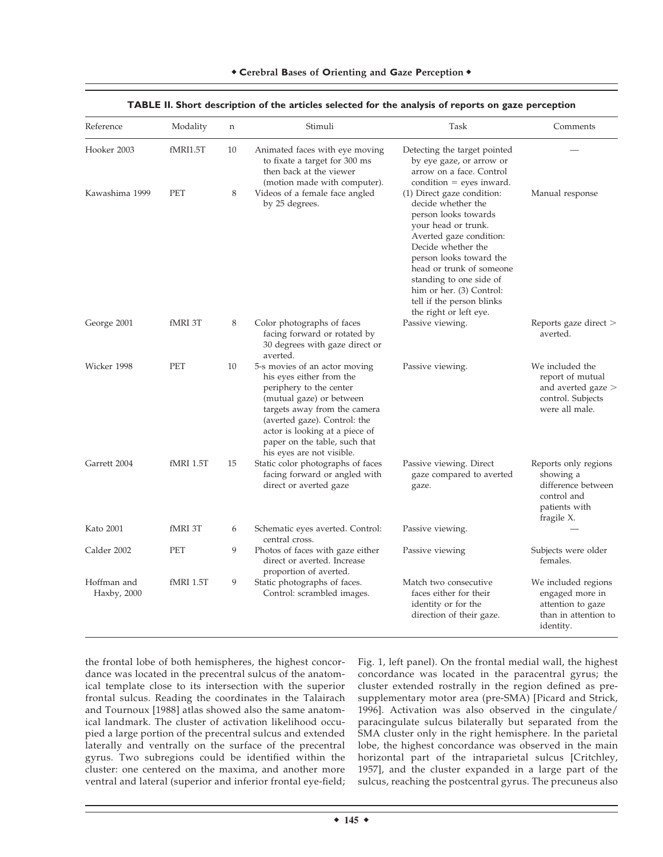| Reference                  | Modality         | n  | Stimuli                                                                                                                                                                                                                                                                          | Task                                                                                                                                                                                                                                                                                                                  | Comments                                                                                              |
|----------------------------|------------------|----|----------------------------------------------------------------------------------------------------------------------------------------------------------------------------------------------------------------------------------------------------------------------------------|-----------------------------------------------------------------------------------------------------------------------------------------------------------------------------------------------------------------------------------------------------------------------------------------------------------------------|-------------------------------------------------------------------------------------------------------|
| Hooker 2003                | fMRI1.5T         | 10 | Animated faces with eye moving<br>to fixate a target for 300 ms<br>then back at the viewer<br>(motion made with computer).                                                                                                                                                       | Detecting the target pointed<br>by eye gaze, or arrow or<br>arrow on a face. Control<br>condition $=$ eyes inward.                                                                                                                                                                                                    |                                                                                                       |
| Kawashima 1999             | <b>PET</b>       | 8  | Videos of a female face angled<br>by 25 degrees.                                                                                                                                                                                                                                 | (1) Direct gaze condition:<br>decide whether the<br>person looks towards<br>your head or trunk.<br>Averted gaze condition:<br>Decide whether the<br>person looks toward the<br>head or trunk of someone<br>standing to one side of<br>him or her. (3) Control:<br>tell if the person blinks<br>the right or left eye. | Manual response                                                                                       |
| George 2001                | fMRI 3T          | 8  | Color photographs of faces<br>facing forward or rotated by<br>30 degrees with gaze direct or<br>averted.                                                                                                                                                                         | Passive viewing.                                                                                                                                                                                                                                                                                                      | Reports gaze direct ><br>averted.                                                                     |
| Wicker 1998                | <b>PET</b>       | 10 | 5-s movies of an actor moving<br>his eyes either from the<br>periphery to the center<br>(mutual gaze) or between<br>targets away from the camera<br>(averted gaze). Control: the<br>actor is looking at a piece of<br>paper on the table, such that<br>his eyes are not visible. | Passive viewing.                                                                                                                                                                                                                                                                                                      | We included the<br>report of mutual<br>and averted gaze $>$<br>control. Subjects<br>were all male.    |
| Garrett 2004               | <b>fMRI 1.5T</b> | 15 | Static color photographs of faces<br>facing forward or angled with<br>direct or averted gaze                                                                                                                                                                                     | Passive viewing. Direct<br>gaze compared to averted<br>gaze.                                                                                                                                                                                                                                                          | Reports only regions<br>showing a<br>difference between<br>control and<br>patients with<br>fragile X. |
| <b>Kato 2001</b>           | fMRI 3T          | 6  | Schematic eyes averted. Control:<br>central cross.                                                                                                                                                                                                                               | Passive viewing.                                                                                                                                                                                                                                                                                                      |                                                                                                       |
| Calder 2002                | <b>PET</b>       | 9  | Photos of faces with gaze either<br>direct or averted. Increase<br>proportion of averted.                                                                                                                                                                                        | Passive viewing                                                                                                                                                                                                                                                                                                       | Subjects were older<br>females.                                                                       |
| Hoffman and<br>Haxby, 2000 | <b>fMRI 1.5T</b> | 9  | Static photographs of faces.<br>Control: scrambled images.                                                                                                                                                                                                                       | Match two consecutive<br>faces either for their<br>identity or for the<br>direction of their gaze.                                                                                                                                                                                                                    | We included regions<br>engaged more in<br>attention to gaze<br>than in attention to<br>identity.      |

**TABLE II. Short description of the articles selected for the analysis of reports on gaze perception**

the frontal lobe of both hemispheres, the highest concordance was located in the precentral sulcus of the anatomical template close to its intersection with the superior frontal sulcus. Reading the coordinates in the Talairach and Tournoux [1988] atlas showed also the same anatomical landmark. The cluster of activation likelihood occupied a large portion of the precentral sulcus and extended laterally and ventrally on the surface of the precentral gyrus. Two subregions could be identified within the cluster: one centered on the maxima, and another more ventral and lateral (superior and inferior frontal eye-field; Fig. 1, left panel). On the frontal medial wall, the highest concordance was located in the paracentral gyrus; the cluster extended rostrally in the region defined as presupplementary motor area (pre-SMA) [Picard and Strick, 1996]. Activation was also observed in the cingulate/ paracingulate sulcus bilaterally but separated from the SMA cluster only in the right hemisphere. In the parietal lobe, the highest concordance was observed in the main horizontal part of the intraparietal sulcus [Critchley, 1957], and the cluster expanded in a large part of the sulcus, reaching the postcentral gyrus. The precuneus also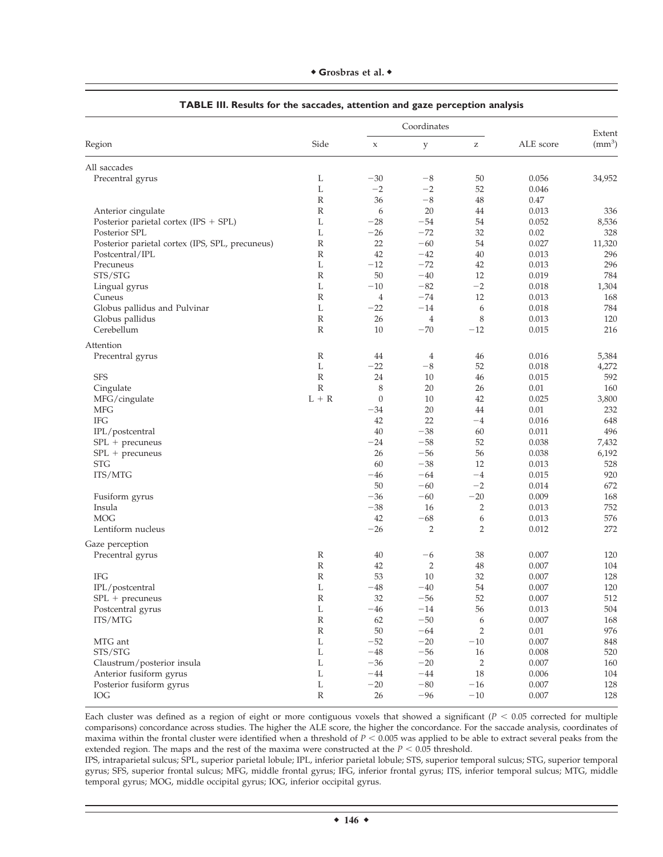|                                                 |               |                  | Coordinates    |                                                       |           |                        |
|-------------------------------------------------|---------------|------------------|----------------|-------------------------------------------------------|-----------|------------------------|
| Region                                          | Side          | $\mathsf X$      | y              | $\mathbf{Z}% ^{T}=\mathbf{Z}^{T}\times\mathbf{Z}^{T}$ | ALE score | Extent<br>$\text{m}^3$ |
| All saccades                                    |               |                  |                |                                                       |           |                        |
| Precentral gyrus                                | L             | $-30$            | $-8$           | 50                                                    | 0.056     | 34,952                 |
|                                                 | L             | $-2$             | $-2$           | 52                                                    | 0.046     |                        |
|                                                 | $\mathbb{R}$  | 36               | $-8$           | 48                                                    | 0.47      |                        |
| Anterior cingulate                              | $\mathbb{R}$  | 6                | 20             | 44                                                    | 0.013     | 336                    |
| Posterior parietal cortex (IPS + SPL)           | L             | $-28$            | $-54$          | 54                                                    | 0.052     | 8,536                  |
| Posterior SPL                                   | L             | $-26$            | $-72$          | 32                                                    | 0.02      | 328                    |
| Posterior parietal cortex (IPS, SPL, precuneus) | $\mathbb{R}$  | 22               | $-60$          | 54                                                    | 0.027     | 11,320                 |
| Postcentral/IPL                                 | $\mathbb{R}$  | 42               | $-42$          | 40                                                    | 0.013     | 296                    |
| Precuneus                                       | L             | $-12$            | $-72$          | 42                                                    | 0.013     | 296                    |
| STS/STG                                         | $\mathbb{R}$  | 50               | $-40$          | 12                                                    | 0.019     | 784                    |
| Lingual gyrus                                   | L             | $-10$            | $-82$          | $-2$                                                  | 0.018     | 1,304                  |
| Cuneus                                          | $\mathbb{R}$  | $\overline{4}$   | $-74$          | 12                                                    | 0.013     | 168                    |
| Globus pallidus and Pulvinar                    | L             | $-22$            | $-14$          | 6                                                     | 0.018     | 784                    |
| Globus pallidus                                 | $\mathbb R$   | 26               | $\overline{4}$ | 8                                                     | 0.013     | 120                    |
| Cerebellum                                      | $\mathbb{R}$  | 10               | $-70$          | $-12$                                                 | 0.015     | 216                    |
| Attention                                       |               |                  |                |                                                       |           |                        |
| Precentral gyrus                                | R             | 44               | $\overline{4}$ | 46                                                    | 0.016     | 5,384                  |
|                                                 | L             | $-22$            | $-8$           | 52                                                    | 0.018     | 4,272                  |
| <b>SFS</b>                                      | $\mathbb{R}$  | 24               | 10             | 46                                                    | 0.015     | 592                    |
| Cingulate                                       | $\mathbb R$   | 8                | 20             | 26                                                    | 0.01      | 160                    |
| MFG/cingulate                                   | $L + R$       | $\boldsymbol{0}$ | 10             | 42                                                    | 0.025     | 3,800                  |
| <b>MFG</b>                                      |               | $-34$            | 20             | 44                                                    | 0.01      | 232                    |
| <b>IFG</b>                                      |               | 42               | 22             | $-4$                                                  | 0.016     | 648                    |
| IPL/postcentral                                 |               | 40               | $-38$          | 60                                                    | 0.011     | 496                    |
| SPL + precuneus                                 |               | $-24$            | $-58$          | 52                                                    | 0.038     | 7,432                  |
| $SPL + precuneus$                               |               | 26               | $-56$          | 56                                                    | 0.038     | 6,192                  |
| <b>STG</b>                                      |               | 60               | $-38$          | 12                                                    | 0.013     | 528                    |
| ITS/MTG                                         |               | $-46$            | $-64$          | $-4$                                                  | 0.015     | 920                    |
|                                                 |               | 50               | $-60$          | $-2$                                                  | 0.014     | 672                    |
| Fusiform gyrus                                  |               | $-36$            | $-60$          | $-20$                                                 | 0.009     | 168                    |
| Insula                                          |               | $-38$            | 16             | $\overline{2}$                                        | 0.013     | 752                    |
| <b>MOG</b>                                      |               | 42               | $-68$          | 6                                                     | 0.013     | 576                    |
| Lentiform nucleus                               |               | $-26$            | $\overline{2}$ | $\overline{2}$                                        | 0.012     | 272                    |
|                                                 |               |                  |                |                                                       |           |                        |
| Gaze perception                                 |               |                  |                |                                                       |           |                        |
| Precentral gyrus                                | R             | 40               | $-6$           | 38                                                    | 0.007     | 120                    |
|                                                 | $\mathbb R$   | 42               | $\overline{2}$ | 48                                                    | 0.007     | 104                    |
| <b>IFG</b>                                      | $\mathbb{R}$  | 53               | 10             | 32                                                    | 0.007     | 128                    |
| IPL/postcentral                                 | L             | $-48$            | $-40$          | 54                                                    | 0.007     | 120                    |
| ${\rm SPL}$ + precuneus                         | R             | 32               | $-56$          | 52                                                    | 0.007     | 512                    |
| Postcentral gyrus                               | L             | $-46$            | $-14$          | 56                                                    | 0.013     | 504                    |
| ITS/MTG                                         | $\mathbb R$   | 62               | $-50$          | 6                                                     | 0.007     | 168                    |
|                                                 | ${\mathbb R}$ | 50               | $-64$          | $\overline{2}$                                        | $0.01\,$  | 976                    |
| MTG ant                                         | $\mathbf L$   | $-52$            | $-20$          | $-10$                                                 | 0.007     | 848                    |
| STS/STG                                         | $\mathbf L$   | $-48$            | $-56$          | 16                                                    | 0.008     | 520                    |
| Claustrum/posterior insula                      | L             | $-36$            | $-20$          | $\sqrt{2}$                                            | 0.007     | 160                    |
| Anterior fusiform gyrus                         | L             | $-44$            | $-44\,$        | $18\,$                                                | 0.006     | 104                    |
| Posterior fusiform gyrus                        | $\mathbf L$   | $-20$            | $-80\,$        | $-16$                                                 | 0.007     | 128                    |
| IOG                                             | $\mathbb R$   | 26               | $-96$          | $-10$                                                 | 0.007     | 128                    |

# **TABLE III. Results for the saccades, attention and gaze perception analysis**

Each cluster was defined as a region of eight or more contiguous voxels that showed a significant ( $P < 0.05$  corrected for multiple comparisons) concordance across studies. The higher the ALE score, the higher the concordance. For the saccade analysis, coordinates of maxima within the frontal cluster were identified when a threshold of *P* < 0.005 was applied to be able to extract several peaks from the extended region. The maps and the rest of the maxima were constructed at the  $P < 0.05$  threshold.

IPS, intraparietal sulcus; SPL, superior parietal lobule; IPL, inferior parietal lobule; STS, superior temporal sulcus; STG, superior temporal gyrus; SFS, superior frontal sulcus; MFG, middle frontal gyrus; IFG, inferior frontal gyrus; ITS, inferior temporal sulcus; MTG, middle temporal gyrus; MOG, middle occipital gyrus; IOG, inferior occipital gyrus.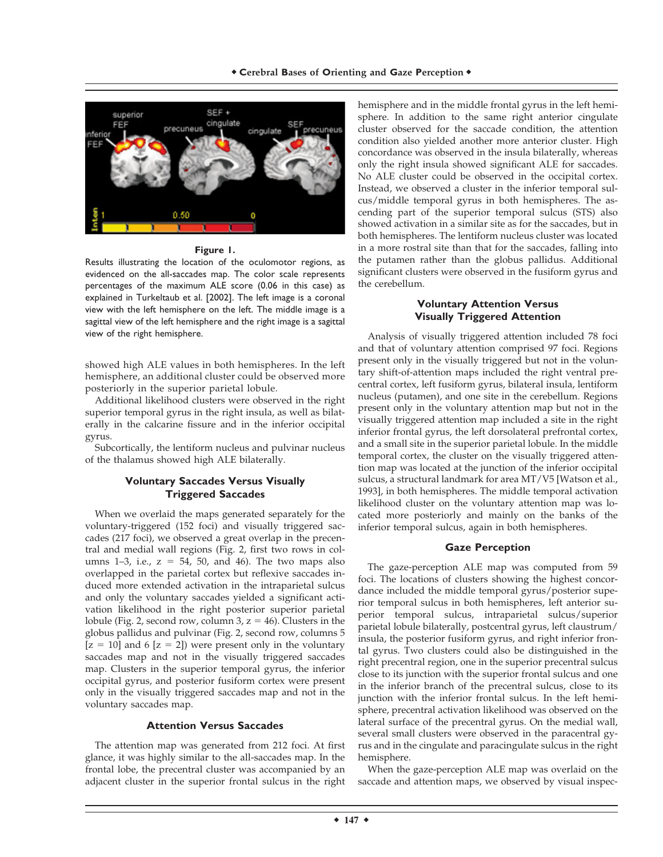

**Figure 1.**

Results illustrating the location of the oculomotor regions, as evidenced on the all-saccades map. The color scale represents percentages of the maximum ALE score (0.06 in this case) as explained in Turkeltaub et al. [2002]. The left image is a coronal view with the left hemisphere on the left. The middle image is a sagittal view of the left hemisphere and the right image is a sagittal view of the right hemisphere.

showed high ALE values in both hemispheres. In the left hemisphere, an additional cluster could be observed more posteriorly in the superior parietal lobule.

Additional likelihood clusters were observed in the right superior temporal gyrus in the right insula, as well as bilaterally in the calcarine fissure and in the inferior occipital gyrus.

Subcortically, the lentiform nucleus and pulvinar nucleus of the thalamus showed high ALE bilaterally.

# **Voluntary Saccades Versus Visually Triggered Saccades**

When we overlaid the maps generated separately for the voluntary-triggered (152 foci) and visually triggered saccades (217 foci), we observed a great overlap in the precentral and medial wall regions (Fig. 2, first two rows in columns 1–3, i.e.,  $z = 54$ , 50, and 46). The two maps also overlapped in the parietal cortex but reflexive saccades induced more extended activation in the intraparietal sulcus and only the voluntary saccades yielded a significant activation likelihood in the right posterior superior parietal lobule (Fig. 2, second row, column 3,  $z = 46$ ). Clusters in the globus pallidus and pulvinar (Fig. 2, second row, columns 5  $[z = 10]$  and 6  $[z = 2]$ ) were present only in the voluntary saccades map and not in the visually triggered saccades map. Clusters in the superior temporal gyrus, the inferior occipital gyrus, and posterior fusiform cortex were present only in the visually triggered saccades map and not in the voluntary saccades map.

# **Attention Versus Saccades**

The attention map was generated from 212 foci. At first glance, it was highly similar to the all-saccades map. In the frontal lobe, the precentral cluster was accompanied by an adjacent cluster in the superior frontal sulcus in the right hemisphere and in the middle frontal gyrus in the left hemisphere. In addition to the same right anterior cingulate cluster observed for the saccade condition, the attention condition also yielded another more anterior cluster. High concordance was observed in the insula bilaterally, whereas only the right insula showed significant ALE for saccades. No ALE cluster could be observed in the occipital cortex. Instead, we observed a cluster in the inferior temporal sulcus/middle temporal gyrus in both hemispheres. The ascending part of the superior temporal sulcus (STS) also showed activation in a similar site as for the saccades, but in both hemispheres. The lentiform nucleus cluster was located in a more rostral site than that for the saccades, falling into the putamen rather than the globus pallidus. Additional significant clusters were observed in the fusiform gyrus and the cerebellum.

# **Voluntary Attention Versus Visually Triggered Attention**

Analysis of visually triggered attention included 78 foci and that of voluntary attention comprised 97 foci. Regions present only in the visually triggered but not in the voluntary shift-of-attention maps included the right ventral precentral cortex, left fusiform gyrus, bilateral insula, lentiform nucleus (putamen), and one site in the cerebellum. Regions present only in the voluntary attention map but not in the visually triggered attention map included a site in the right inferior frontal gyrus, the left dorsolateral prefrontal cortex, and a small site in the superior parietal lobule. In the middle temporal cortex, the cluster on the visually triggered attention map was located at the junction of the inferior occipital sulcus, a structural landmark for area MT/V5 [Watson et al., 1993], in both hemispheres. The middle temporal activation likelihood cluster on the voluntary attention map was located more posteriorly and mainly on the banks of the inferior temporal sulcus, again in both hemispheres.

# **Gaze Perception**

The gaze-perception ALE map was computed from 59 foci. The locations of clusters showing the highest concordance included the middle temporal gyrus/posterior superior temporal sulcus in both hemispheres, left anterior superior temporal sulcus, intraparietal sulcus/superior parietal lobule bilaterally, postcentral gyrus, left claustrum/ insula, the posterior fusiform gyrus, and right inferior frontal gyrus. Two clusters could also be distinguished in the right precentral region, one in the superior precentral sulcus close to its junction with the superior frontal sulcus and one in the inferior branch of the precentral sulcus, close to its junction with the inferior frontal sulcus. In the left hemisphere, precentral activation likelihood was observed on the lateral surface of the precentral gyrus. On the medial wall, several small clusters were observed in the paracentral gyrus and in the cingulate and paracingulate sulcus in the right hemisphere.

When the gaze-perception ALE map was overlaid on the saccade and attention maps, we observed by visual inspec-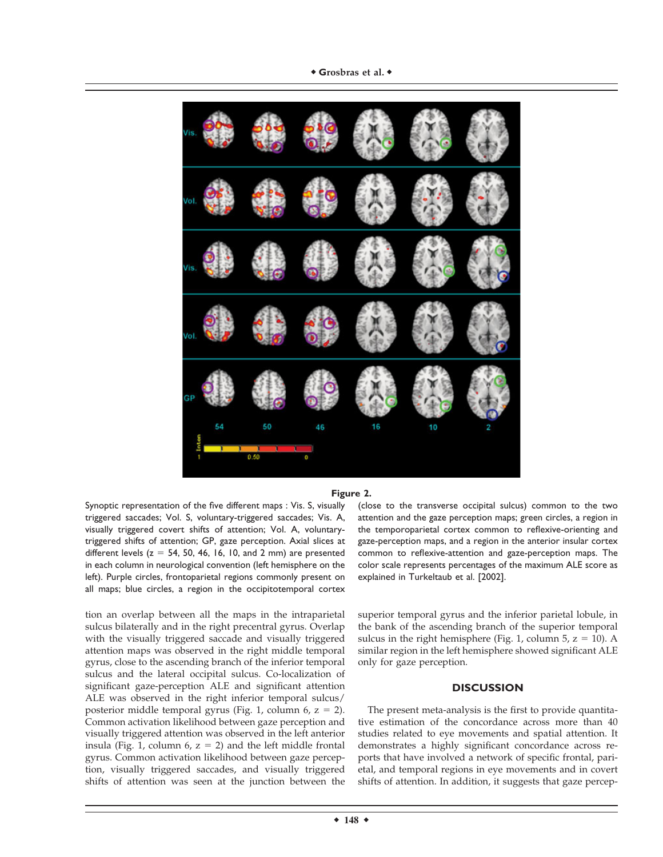

#### **Figure 2.**

Synoptic representation of the five different maps : Vis. S, visually triggered saccades; Vol. S, voluntary-triggered saccades; Vis. A, visually triggered covert shifts of attention; Vol. A, voluntarytriggered shifts of attention; GP, gaze perception. Axial slices at different levels ( $z = 54$ , 50, 46, 16, 10, and 2 mm) are presented in each column in neurological convention (left hemisphere on the left). Purple circles, frontoparietal regions commonly present on all maps; blue circles, a region in the occipitotemporal cortex

tion an overlap between all the maps in the intraparietal sulcus bilaterally and in the right precentral gyrus. Overlap with the visually triggered saccade and visually triggered attention maps was observed in the right middle temporal gyrus, close to the ascending branch of the inferior temporal sulcus and the lateral occipital sulcus. Co-localization of significant gaze-perception ALE and significant attention ALE was observed in the right inferior temporal sulcus/ posterior middle temporal gyrus (Fig. 1, column 6,  $z = 2$ ). Common activation likelihood between gaze perception and visually triggered attention was observed in the left anterior insula (Fig. 1, column 6,  $z = 2$ ) and the left middle frontal gyrus. Common activation likelihood between gaze perception, visually triggered saccades, and visually triggered shifts of attention was seen at the junction between the (close to the transverse occipital sulcus) common to the two attention and the gaze perception maps; green circles, a region in the temporoparietal cortex common to reflexive-orienting and gaze-perception maps, and a region in the anterior insular cortex common to reflexive-attention and gaze-perception maps. The color scale represents percentages of the maximum ALE score as explained in Turkeltaub et al. [2002].

superior temporal gyrus and the inferior parietal lobule, in the bank of the ascending branch of the superior temporal sulcus in the right hemisphere (Fig. 1, column 5,  $z = 10$ ). A similar region in the left hemisphere showed significant ALE only for gaze perception.

#### **DISCUSSION**

The present meta-analysis is the first to provide quantitative estimation of the concordance across more than 40 studies related to eye movements and spatial attention. It demonstrates a highly significant concordance across reports that have involved a network of specific frontal, parietal, and temporal regions in eye movements and in covert shifts of attention. In addition, it suggests that gaze percep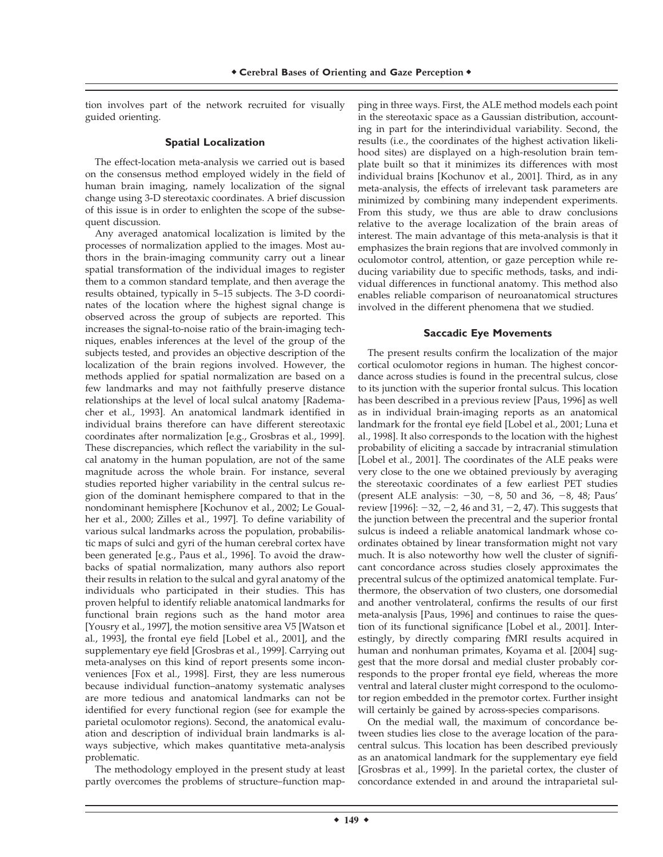tion involves part of the network recruited for visually guided orienting.

# **Spatial Localization**

The effect-location meta-analysis we carried out is based on the consensus method employed widely in the field of human brain imaging, namely localization of the signal change using 3-D stereotaxic coordinates. A brief discussion of this issue is in order to enlighten the scope of the subsequent discussion.

Any averaged anatomical localization is limited by the processes of normalization applied to the images. Most authors in the brain-imaging community carry out a linear spatial transformation of the individual images to register them to a common standard template, and then average the results obtained, typically in 5–15 subjects. The 3-D coordinates of the location where the highest signal change is observed across the group of subjects are reported. This increases the signal-to-noise ratio of the brain-imaging techniques, enables inferences at the level of the group of the subjects tested, and provides an objective description of the localization of the brain regions involved. However, the methods applied for spatial normalization are based on a few landmarks and may not faithfully preserve distance relationships at the level of local sulcal anatomy [Rademacher et al., 1993]. An anatomical landmark identified in individual brains therefore can have different stereotaxic coordinates after normalization [e.g., Grosbras et al., 1999]. These discrepancies, which reflect the variability in the sulcal anatomy in the human population, are not of the same magnitude across the whole brain. For instance, several studies reported higher variability in the central sulcus region of the dominant hemisphere compared to that in the nondominant hemisphere [Kochunov et al., 2002; Le Goualher et al., 2000; Zilles et al., 1997]. To define variability of various sulcal landmarks across the population, probabilistic maps of sulci and gyri of the human cerebral cortex have been generated [e.g., Paus et al., 1996]. To avoid the drawbacks of spatial normalization, many authors also report their results in relation to the sulcal and gyral anatomy of the individuals who participated in their studies. This has proven helpful to identify reliable anatomical landmarks for functional brain regions such as the hand motor area [Yousry et al., 1997], the motion sensitive area V5 [Watson et al., 1993], the frontal eye field [Lobel et al., 2001], and the supplementary eye field [Grosbras et al., 1999]. Carrying out meta-analyses on this kind of report presents some inconveniences [Fox et al., 1998]. First, they are less numerous because individual function–anatomy systematic analyses are more tedious and anatomical landmarks can not be identified for every functional region (see for example the parietal oculomotor regions). Second, the anatomical evaluation and description of individual brain landmarks is always subjective, which makes quantitative meta-analysis problematic.

The methodology employed in the present study at least partly overcomes the problems of structure–function mapping in three ways. First, the ALE method models each point in the stereotaxic space as a Gaussian distribution, accounting in part for the interindividual variability. Second, the results (i.e., the coordinates of the highest activation likelihood sites) are displayed on a high-resolution brain template built so that it minimizes its differences with most individual brains [Kochunov et al., 2001]. Third, as in any meta-analysis, the effects of irrelevant task parameters are minimized by combining many independent experiments. From this study, we thus are able to draw conclusions relative to the average localization of the brain areas of interest. The main advantage of this meta-analysis is that it emphasizes the brain regions that are involved commonly in oculomotor control, attention, or gaze perception while reducing variability due to specific methods, tasks, and individual differences in functional anatomy. This method also enables reliable comparison of neuroanatomical structures involved in the different phenomena that we studied.

# **Saccadic Eye Movements**

The present results confirm the localization of the major cortical oculomotor regions in human. The highest concordance across studies is found in the precentral sulcus, close to its junction with the superior frontal sulcus. This location has been described in a previous review [Paus, 1996] as well as in individual brain-imaging reports as an anatomical landmark for the frontal eye field [Lobel et al., 2001; Luna et al., 1998]. It also corresponds to the location with the highest probability of eliciting a saccade by intracranial stimulation [Lobel et al., 2001]. The coordinates of the ALE peaks were very close to the one we obtained previously by averaging the stereotaxic coordinates of a few earliest PET studies (present ALE analysis:  $-30, -8, 50$  and  $36, -8, 48$ ; Paus' review [1996]:  $-32, -2, 46$  and  $31, -2, 47$ ). This suggests that the junction between the precentral and the superior frontal sulcus is indeed a reliable anatomical landmark whose coordinates obtained by linear transformation might not vary much. It is also noteworthy how well the cluster of significant concordance across studies closely approximates the precentral sulcus of the optimized anatomical template. Furthermore, the observation of two clusters, one dorsomedial and another ventrolateral, confirms the results of our first meta-analysis [Paus, 1996] and continues to raise the question of its functional significance [Lobel et al., 2001]. Interestingly, by directly comparing fMRI results acquired in human and nonhuman primates, Koyama et al. [2004] suggest that the more dorsal and medial cluster probably corresponds to the proper frontal eye field, whereas the more ventral and lateral cluster might correspond to the oculomotor region embedded in the premotor cortex. Further insight will certainly be gained by across-species comparisons.

On the medial wall, the maximum of concordance between studies lies close to the average location of the paracentral sulcus. This location has been described previously as an anatomical landmark for the supplementary eye field [Grosbras et al., 1999]. In the parietal cortex, the cluster of concordance extended in and around the intraparietal sul-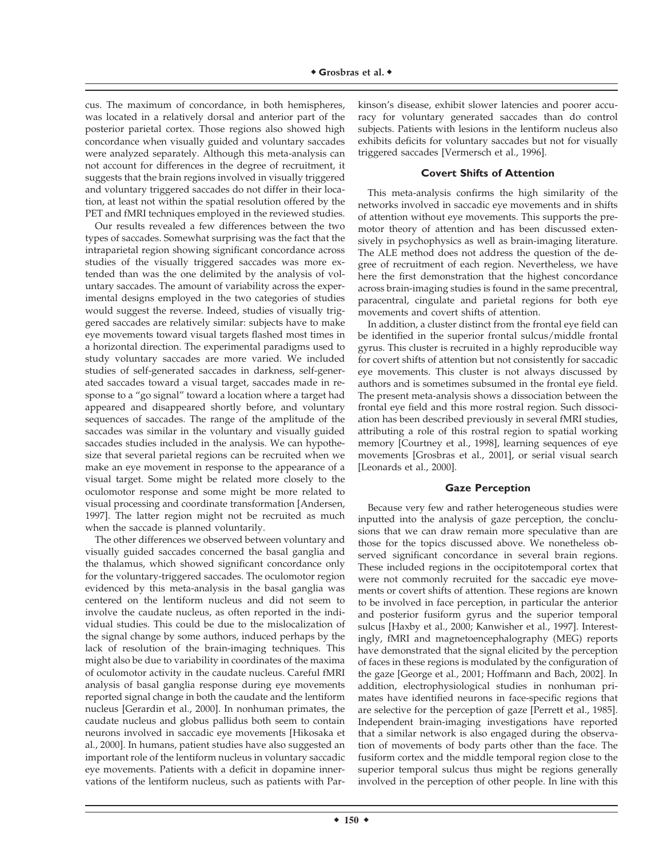cus. The maximum of concordance, in both hemispheres, was located in a relatively dorsal and anterior part of the posterior parietal cortex. Those regions also showed high concordance when visually guided and voluntary saccades were analyzed separately. Although this meta-analysis can not account for differences in the degree of recruitment, it suggests that the brain regions involved in visually triggered and voluntary triggered saccades do not differ in their location, at least not within the spatial resolution offered by the PET and fMRI techniques employed in the reviewed studies.

Our results revealed a few differences between the two types of saccades. Somewhat surprising was the fact that the intraparietal region showing significant concordance across studies of the visually triggered saccades was more extended than was the one delimited by the analysis of voluntary saccades. The amount of variability across the experimental designs employed in the two categories of studies would suggest the reverse. Indeed, studies of visually triggered saccades are relatively similar: subjects have to make eye movements toward visual targets flashed most times in a horizontal direction. The experimental paradigms used to study voluntary saccades are more varied. We included studies of self-generated saccades in darkness, self-generated saccades toward a visual target, saccades made in response to a "go signal" toward a location where a target had appeared and disappeared shortly before, and voluntary sequences of saccades. The range of the amplitude of the saccades was similar in the voluntary and visually guided saccades studies included in the analysis. We can hypothesize that several parietal regions can be recruited when we make an eye movement in response to the appearance of a visual target. Some might be related more closely to the oculomotor response and some might be more related to visual processing and coordinate transformation [Andersen, 1997]. The latter region might not be recruited as much when the saccade is planned voluntarily.

The other differences we observed between voluntary and visually guided saccades concerned the basal ganglia and the thalamus, which showed significant concordance only for the voluntary-triggered saccades. The oculomotor region evidenced by this meta-analysis in the basal ganglia was centered on the lentiform nucleus and did not seem to involve the caudate nucleus, as often reported in the individual studies. This could be due to the mislocalization of the signal change by some authors, induced perhaps by the lack of resolution of the brain-imaging techniques. This might also be due to variability in coordinates of the maxima of oculomotor activity in the caudate nucleus. Careful fMRI analysis of basal ganglia response during eye movements reported signal change in both the caudate and the lentiform nucleus [Gerardin et al., 2000]. In nonhuman primates, the caudate nucleus and globus pallidus both seem to contain neurons involved in saccadic eye movements [Hikosaka et al., 2000]. In humans, patient studies have also suggested an important role of the lentiform nucleus in voluntary saccadic eye movements. Patients with a deficit in dopamine innervations of the lentiform nucleus, such as patients with Parkinson's disease, exhibit slower latencies and poorer accuracy for voluntary generated saccades than do control subjects. Patients with lesions in the lentiform nucleus also exhibits deficits for voluntary saccades but not for visually triggered saccades [Vermersch et al., 1996].

# **Covert Shifts of Attention**

This meta-analysis confirms the high similarity of the networks involved in saccadic eye movements and in shifts of attention without eye movements. This supports the premotor theory of attention and has been discussed extensively in psychophysics as well as brain-imaging literature. The ALE method does not address the question of the degree of recruitment of each region. Nevertheless, we have here the first demonstration that the highest concordance across brain-imaging studies is found in the same precentral, paracentral, cingulate and parietal regions for both eye movements and covert shifts of attention.

In addition, a cluster distinct from the frontal eye field can be identified in the superior frontal sulcus/middle frontal gyrus. This cluster is recruited in a highly reproducible way for covert shifts of attention but not consistently for saccadic eye movements. This cluster is not always discussed by authors and is sometimes subsumed in the frontal eye field. The present meta-analysis shows a dissociation between the frontal eye field and this more rostral region. Such dissociation has been described previously in several fMRI studies, attributing a role of this rostral region to spatial working memory [Courtney et al., 1998], learning sequences of eye movements [Grosbras et al., 2001], or serial visual search [Leonards et al., 2000].

#### **Gaze Perception**

Because very few and rather heterogeneous studies were inputted into the analysis of gaze perception, the conclusions that we can draw remain more speculative than are those for the topics discussed above. We nonetheless observed significant concordance in several brain regions. These included regions in the occipitotemporal cortex that were not commonly recruited for the saccadic eye movements or covert shifts of attention. These regions are known to be involved in face perception, in particular the anterior and posterior fusiform gyrus and the superior temporal sulcus [Haxby et al., 2000; Kanwisher et al., 1997]. Interestingly, fMRI and magnetoencephalography (MEG) reports have demonstrated that the signal elicited by the perception of faces in these regions is modulated by the configuration of the gaze [George et al., 2001; Hoffmann and Bach, 2002]. In addition, electrophysiological studies in nonhuman primates have identified neurons in face-specific regions that are selective for the perception of gaze [Perrett et al., 1985]. Independent brain-imaging investigations have reported that a similar network is also engaged during the observation of movements of body parts other than the face. The fusiform cortex and the middle temporal region close to the superior temporal sulcus thus might be regions generally involved in the perception of other people. In line with this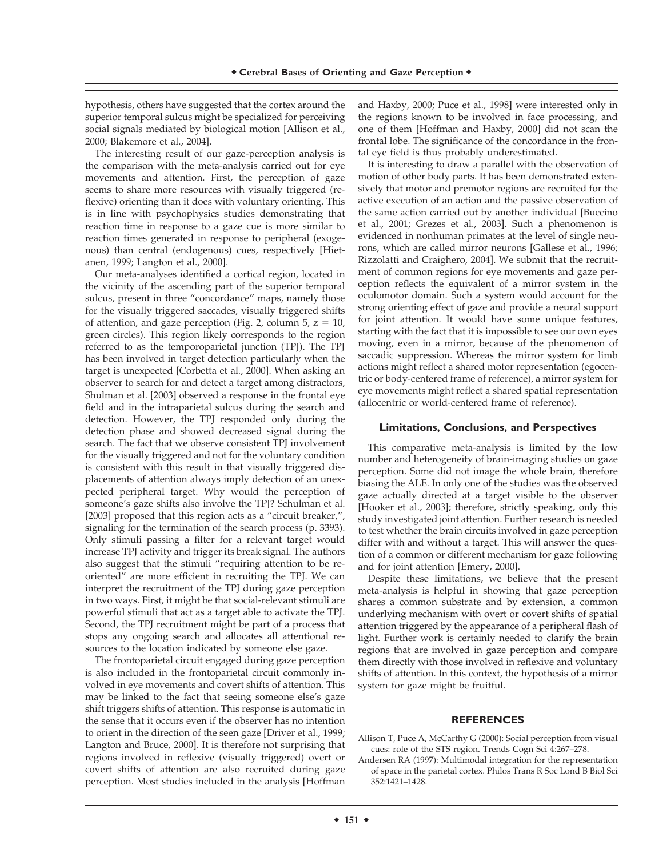hypothesis, others have suggested that the cortex around the superior temporal sulcus might be specialized for perceiving social signals mediated by biological motion [Allison et al., 2000; Blakemore et al., 2004].

The interesting result of our gaze-perception analysis is the comparison with the meta-analysis carried out for eye movements and attention. First, the perception of gaze seems to share more resources with visually triggered (reflexive) orienting than it does with voluntary orienting. This is in line with psychophysics studies demonstrating that reaction time in response to a gaze cue is more similar to reaction times generated in response to peripheral (exogenous) than central (endogenous) cues, respectively [Hietanen, 1999; Langton et al., 2000].

Our meta-analyses identified a cortical region, located in the vicinity of the ascending part of the superior temporal sulcus, present in three "concordance" maps, namely those for the visually triggered saccades, visually triggered shifts of attention, and gaze perception (Fig. 2, column  $5$ ,  $z = 10$ , green circles). This region likely corresponds to the region referred to as the temporoparietal junction (TPJ). The TPJ has been involved in target detection particularly when the target is unexpected [Corbetta et al., 2000]. When asking an observer to search for and detect a target among distractors, Shulman et al. [2003] observed a response in the frontal eye field and in the intraparietal sulcus during the search and detection. However, the TPJ responded only during the detection phase and showed decreased signal during the search. The fact that we observe consistent TPJ involvement for the visually triggered and not for the voluntary condition is consistent with this result in that visually triggered displacements of attention always imply detection of an unexpected peripheral target. Why would the perception of someone's gaze shifts also involve the TPJ? Schulman et al. [2003] proposed that this region acts as a "circuit breaker,", signaling for the termination of the search process (p. 3393). Only stimuli passing a filter for a relevant target would increase TPJ activity and trigger its break signal. The authors also suggest that the stimuli "requiring attention to be reoriented" are more efficient in recruiting the TPJ. We can interpret the recruitment of the TPJ during gaze perception in two ways. First, it might be that social-relevant stimuli are powerful stimuli that act as a target able to activate the TPJ. Second, the TPJ recruitment might be part of a process that stops any ongoing search and allocates all attentional resources to the location indicated by someone else gaze.

The frontoparietal circuit engaged during gaze perception is also included in the frontoparietal circuit commonly involved in eye movements and covert shifts of attention. This may be linked to the fact that seeing someone else's gaze shift triggers shifts of attention. This response is automatic in the sense that it occurs even if the observer has no intention to orient in the direction of the seen gaze [Driver et al., 1999; Langton and Bruce, 2000]. It is therefore not surprising that regions involved in reflexive (visually triggered) overt or covert shifts of attention are also recruited during gaze perception. Most studies included in the analysis [Hoffman and Haxby, 2000; Puce et al., 1998] were interested only in the regions known to be involved in face processing, and one of them [Hoffman and Haxby, 2000] did not scan the frontal lobe. The significance of the concordance in the frontal eye field is thus probably underestimated.

It is interesting to draw a parallel with the observation of motion of other body parts. It has been demonstrated extensively that motor and premotor regions are recruited for the active execution of an action and the passive observation of the same action carried out by another individual [Buccino et al., 2001; Grezes et al., 2003]. Such a phenomenon is evidenced in nonhuman primates at the level of single neurons, which are called mirror neurons [Gallese et al., 1996; Rizzolatti and Craighero, 2004]. We submit that the recruitment of common regions for eye movements and gaze perception reflects the equivalent of a mirror system in the oculomotor domain. Such a system would account for the strong orienting effect of gaze and provide a neural support for joint attention. It would have some unique features, starting with the fact that it is impossible to see our own eyes moving, even in a mirror, because of the phenomenon of saccadic suppression. Whereas the mirror system for limb actions might reflect a shared motor representation (egocentric or body-centered frame of reference), a mirror system for eye movements might reflect a shared spatial representation (allocentric or world-centered frame of reference).

# **Limitations, Conclusions, and Perspectives**

This comparative meta-analysis is limited by the low number and heterogeneity of brain-imaging studies on gaze perception. Some did not image the whole brain, therefore biasing the ALE. In only one of the studies was the observed gaze actually directed at a target visible to the observer [Hooker et al., 2003]; therefore, strictly speaking, only this study investigated joint attention. Further research is needed to test whether the brain circuits involved in gaze perception differ with and without a target. This will answer the question of a common or different mechanism for gaze following and for joint attention [Emery, 2000].

Despite these limitations, we believe that the present meta-analysis is helpful in showing that gaze perception shares a common substrate and by extension, a common underlying mechanism with overt or covert shifts of spatial attention triggered by the appearance of a peripheral flash of light. Further work is certainly needed to clarify the brain regions that are involved in gaze perception and compare them directly with those involved in reflexive and voluntary shifts of attention. In this context, the hypothesis of a mirror system for gaze might be fruitful.

# **REFERENCES**

- Allison T, Puce A, McCarthy G (2000): Social perception from visual cues: role of the STS region. Trends Cogn Sci 4:267–278.
- Andersen RA (1997): Multimodal integration for the representation of space in the parietal cortex. Philos Trans R Soc Lond B Biol Sci 352:1421–1428.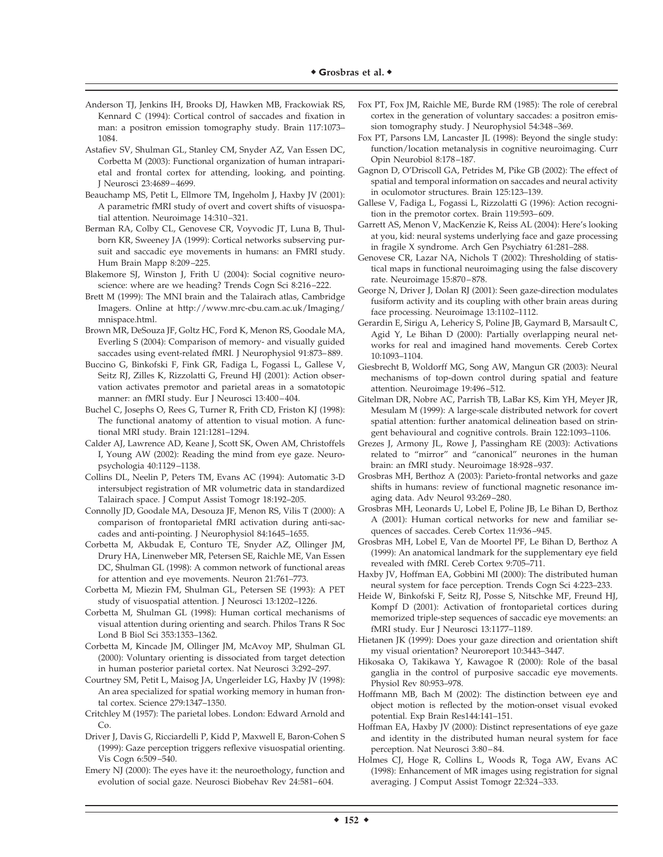- Anderson TJ, Jenkins IH, Brooks DJ, Hawken MB, Frackowiak RS, Kennard C (1994): Cortical control of saccades and fixation in man: a positron emission tomography study. Brain 117:1073– 1084.
- Astafiev SV, Shulman GL, Stanley CM, Snyder AZ, Van Essen DC, Corbetta M (2003): Functional organization of human intraparietal and frontal cortex for attending, looking, and pointing. J Neurosci 23:4689–4699.
- Beauchamp MS, Petit L, Ellmore TM, Ingeholm J, Haxby JV (2001): A parametric fMRI study of overt and covert shifts of visuospatial attention. Neuroimage 14:310–321.
- Berman RA, Colby CL, Genovese CR, Voyvodic JT, Luna B, Thulborn KR, Sweeney JA (1999): Cortical networks subserving pursuit and saccadic eye movements in humans: an FMRI study. Hum Brain Mapp 8:209–225.
- Blakemore SJ, Winston J, Frith U (2004): Social cognitive neuroscience: where are we heading? Trends Cogn Sci 8:216–222.
- Brett M (1999): The MNI brain and the Talairach atlas, Cambridge Imagers. Online at http://www.mrc-cbu.cam.ac.uk/Imaging/ mnispace.html.
- Brown MR, DeSouza JF, Goltz HC, Ford K, Menon RS, Goodale MA, Everling S (2004): Comparison of memory- and visually guided saccades using event-related fMRI. J Neurophysiol 91:873–889.
- Buccino G, Binkofski F, Fink GR, Fadiga L, Fogassi L, Gallese V, Seitz RJ, Zilles K, Rizzolatti G, Freund HJ (2001): Action observation activates premotor and parietal areas in a somatotopic manner: an fMRI study. Eur J Neurosci 13:400–404.
- Buchel C, Josephs O, Rees G, Turner R, Frith CD, Friston KJ (1998): The functional anatomy of attention to visual motion. A functional MRI study. Brain 121:1281–1294.
- Calder AJ, Lawrence AD, Keane J, Scott SK, Owen AM, Christoffels I, Young AW (2002): Reading the mind from eye gaze. Neuropsychologia 40:1129–1138.
- Collins DL, Neelin P, Peters TM, Evans AC (1994): Automatic 3-D intersubject registration of MR volumetric data in standardized Talairach space. J Comput Assist Tomogr 18:192–205.
- Connolly JD, Goodale MA, Desouza JF, Menon RS, Vilis T (2000): A comparison of frontoparietal fMRI activation during anti-saccades and anti-pointing. J Neurophysiol 84:1645–1655.
- Corbetta M, Akbudak E, Conturo TE, Snyder AZ, Ollinger JM, Drury HA, Linenweber MR, Petersen SE, Raichle ME, Van Essen DC, Shulman GL (1998): A common network of functional areas for attention and eye movements. Neuron 21:761–773.
- Corbetta M, Miezin FM, Shulman GL, Petersen SE (1993): A PET study of visuospatial attention. J Neurosci 13:1202–1226.
- Corbetta M, Shulman GL (1998): Human cortical mechanisms of visual attention during orienting and search. Philos Trans R Soc Lond B Biol Sci 353:1353–1362.
- Corbetta M, Kincade JM, Ollinger JM, McAvoy MP, Shulman GL (2000): Voluntary orienting is dissociated from target detection in human posterior parietal cortex. Nat Neurosci 3:292–297.
- Courtney SM, Petit L, Maisog JA, Ungerleider LG, Haxby JV (1998): An area specialized for spatial working memory in human frontal cortex. Science 279:1347–1350.
- Critchley M (1957): The parietal lobes. London: Edward Arnold and Co.
- Driver J, Davis G, Ricciardelli P, Kidd P, Maxwell E, Baron-Cohen S (1999): Gaze perception triggers reflexive visuospatial orienting. Vis Cogn 6:509–540.
- Emery NJ (2000): The eyes have it: the neuroethology, function and evolution of social gaze. Neurosci Biobehav Rev 24:581–604.
- Fox PT, Fox JM, Raichle ME, Burde RM (1985): The role of cerebral cortex in the generation of voluntary saccades: a positron emission tomography study. J Neurophysiol 54:348–369.
- Fox PT, Parsons LM, Lancaster JL (1998): Beyond the single study: function/location metanalysis in cognitive neuroimaging. Curr Opin Neurobiol 8:178–187.
- Gagnon D, O'Driscoll GA, Petrides M, Pike GB (2002): The effect of spatial and temporal information on saccades and neural activity in oculomotor structures. Brain 125:123–139.
- Gallese V, Fadiga L, Fogassi L, Rizzolatti G (1996): Action recognition in the premotor cortex. Brain 119:593–609.
- Garrett AS, Menon V, MacKenzie K, Reiss AL (2004): Here's looking at you, kid: neural systems underlying face and gaze processing in fragile X syndrome. Arch Gen Psychiatry 61:281–288.
- Genovese CR, Lazar NA, Nichols T (2002): Thresholding of statistical maps in functional neuroimaging using the false discovery rate. Neuroimage 15:870–878.
- George N, Driver J, Dolan RJ (2001): Seen gaze-direction modulates fusiform activity and its coupling with other brain areas during face processing. Neuroimage 13:1102–1112.
- Gerardin E, Sirigu A, Lehericy S, Poline JB, Gaymard B, Marsault C, Agid Y, Le Bihan D (2000): Partially overlapping neural networks for real and imagined hand movements. Cereb Cortex 10:1093–1104.
- Giesbrecht B, Woldorff MG, Song AW, Mangun GR (2003): Neural mechanisms of top-down control during spatial and feature attention. Neuroimage 19:496–512.
- Gitelman DR, Nobre AC, Parrish TB, LaBar KS, Kim YH, Meyer JR, Mesulam M (1999): A large-scale distributed network for covert spatial attention: further anatomical delineation based on stringent behavioural and cognitive controls. Brain 122:1093–1106.
- Grezes J, Armony JL, Rowe J, Passingham RE (2003): Activations related to "mirror" and "canonical" neurones in the human brain: an fMRI study. Neuroimage 18:928–937.
- Grosbras MH, Berthoz A (2003): Parieto-frontal networks and gaze shifts in humans: review of functional magnetic resonance imaging data. Adv Neurol 93:269–280.
- Grosbras MH, Leonards U, Lobel E, Poline JB, Le Bihan D, Berthoz A (2001): Human cortical networks for new and familiar sequences of saccades. Cereb Cortex 11:936–945.
- Grosbras MH, Lobel E, Van de Moortel PF, Le Bihan D, Berthoz A (1999): An anatomical landmark for the supplementary eye field revealed with fMRI. Cereb Cortex 9:705–711.
- Haxby JV, Hoffman EA, Gobbini MI (2000): The distributed human neural system for face perception. Trends Cogn Sci 4:223–233.
- Heide W, Binkofski F, Seitz RJ, Posse S, Nitschke MF, Freund HJ, Kompf D (2001): Activation of frontoparietal cortices during memorized triple-step sequences of saccadic eye movements: an fMRI study. Eur J Neurosci 13:1177–1189.
- Hietanen JK (1999): Does your gaze direction and orientation shift my visual orientation? Neuroreport 10:3443–3447.
- Hikosaka O, Takikawa Y, Kawagoe R (2000): Role of the basal ganglia in the control of purposive saccadic eye movements. Physiol Rev 80:953–978.
- Hoffmann MB, Bach M (2002): The distinction between eye and object motion is reflected by the motion-onset visual evoked potential. Exp Brain Res144:141–151.
- Hoffman EA, Haxby JV (2000): Distinct representations of eye gaze and identity in the distributed human neural system for face perception. Nat Neurosci 3:80–84.
- Holmes CJ, Hoge R, Collins L, Woods R, Toga AW, Evans AC (1998): Enhancement of MR images using registration for signal averaging. J Comput Assist Tomogr 22:324–333.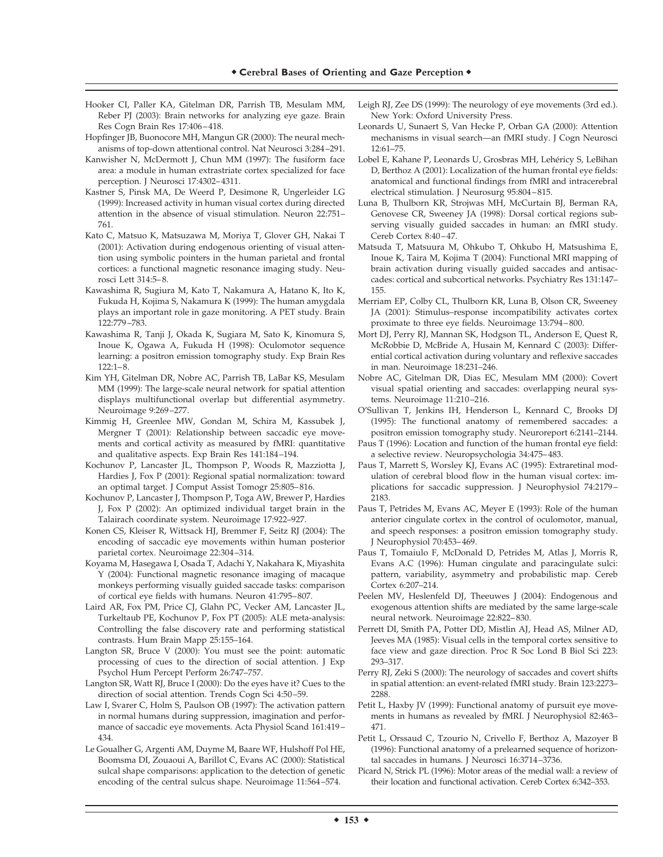- Hooker CI, Paller KA, Gitelman DR, Parrish TB, Mesulam MM, Reber PJ (2003): Brain networks for analyzing eye gaze. Brain Res Cogn Brain Res 17:406–418.
- Hopfinger JB, Buonocore MH, Mangun GR (2000): The neural mechanisms of top-down attentional control. Nat Neurosci 3:284–291.
- Kanwisher N, McDermott J, Chun MM (1997): The fusiform face area: a module in human extrastriate cortex specialized for face perception. J Neurosci 17:4302–4311.
- Kastner S, Pinsk MA, De Weerd P, Desimone R, Ungerleider LG (1999): Increased activity in human visual cortex during directed attention in the absence of visual stimulation. Neuron 22:751– 761.
- Kato C, Matsuo K, Matsuzawa M, Moriya T, Glover GH, Nakai T (2001): Activation during endogenous orienting of visual attention using symbolic pointers in the human parietal and frontal cortices: a functional magnetic resonance imaging study. Neurosci Lett 314:5–8.
- Kawashima R, Sugiura M, Kato T, Nakamura A, Hatano K, Ito K, Fukuda H, Kojima S, Nakamura K (1999): The human amygdala plays an important role in gaze monitoring. A PET study. Brain 122:779–783.
- Kawashima R, Tanji J, Okada K, Sugiara M, Sato K, Kinomura S, Inoue K, Ogawa A, Fukuda H (1998): Oculomotor sequence learning: a positron emission tomography study. Exp Brain Res 122:1–8.
- Kim YH, Gitelman DR, Nobre AC, Parrish TB, LaBar KS, Mesulam MM (1999): The large-scale neural network for spatial attention displays multifunctional overlap but differential asymmetry. Neuroimage 9:269–277.
- Kimmig H, Greenlee MW, Gondan M, Schira M, Kassubek J, Mergner T (2001): Relationship between saccadic eye movements and cortical activity as measured by fMRI: quantitative and qualitative aspects. Exp Brain Res 141:184–194.
- Kochunov P, Lancaster JL, Thompson P, Woods R, Mazziotta J, Hardies J, Fox P (2001): Regional spatial normalization: toward an optimal target. J Comput Assist Tomogr 25:805–816.
- Kochunov P, Lancaster J, Thompson P, Toga AW, Brewer P, Hardies J, Fox P (2002): An optimized individual target brain in the Talairach coordinate system. Neuroimage 17:922–927.
- Konen CS, Kleiser R, Wittsack HJ, Bremmer F, Seitz RJ (2004): The encoding of saccadic eye movements within human posterior parietal cortex. Neuroimage 22:304–314.
- Koyama M, Hasegawa I, Osada T, Adachi Y, Nakahara K, Miyashita Y (2004): Functional magnetic resonance imaging of macaque monkeys performing visually guided saccade tasks: comparison of cortical eye fields with humans. Neuron 41:795–807.
- Laird AR, Fox PM, Price CJ, Glahn PC, Vecker AM, Lancaster JL, Turkeltaub PE, Kochunov P, Fox PT (2005): ALE meta-analysis: Controlling the false discovery rate and performing statistical contrasts. Hum Brain Mapp 25:155–164.
- Langton SR, Bruce V (2000): You must see the point: automatic processing of cues to the direction of social attention. J Exp Psychol Hum Percept Perform 26:747–757.
- Langton SR, Watt RJ, Bruce I (2000): Do the eyes have it? Cues to the direction of social attention. Trends Cogn Sci 4:50–59.
- Law I, Svarer C, Holm S, Paulson OB (1997): The activation pattern in normal humans during suppression, imagination and performance of saccadic eye movements. Acta Physiol Scand 161:419– 434.
- Le Goualher G, Argenti AM, Duyme M, Baare WF, Hulshoff Pol HE, Boomsma DI, Zouaoui A, Barillot C, Evans AC (2000): Statistical sulcal shape comparisons: application to the detection of genetic encoding of the central sulcus shape. Neuroimage 11:564–574.
- Leigh RJ, Zee DS (1999): The neurology of eye movements (3rd ed.). New York: Oxford University Press.
- Leonards U, Sunaert S, Van Hecke P, Orban GA (2000): Attention mechanisms in visual search—an fMRI study. J Cogn Neurosci 12:61–75.
- Lobel E, Kahane P, Leonards U, Grosbras MH, Lehéricy S, LeBihan D, Berthoz A (2001): Localization of the human frontal eye fields: anatomical and functional findings from fMRI and intracerebral electrical stimulation. J Neurosurg 95:804–815.
- Luna B, Thulborn KR, Strojwas MH, McCurtain BJ, Berman RA, Genovese CR, Sweeney JA (1998): Dorsal cortical regions subserving visually guided saccades in human: an fMRI study. Cereb Cortex 8:40–47.
- Matsuda T, Matsuura M, Ohkubo T, Ohkubo H, Matsushima E, Inoue K, Taira M, Kojima T (2004): Functional MRI mapping of brain activation during visually guided saccades and antisaccades: cortical and subcortical networks. Psychiatry Res 131:147– 155.
- Merriam EP, Colby CL, Thulborn KR, Luna B, Olson CR, Sweeney JA (2001): Stimulus–response incompatibility activates cortex proximate to three eye fields. Neuroimage 13:794–800.
- Mort DJ, Perry RJ, Mannan SK, Hodgson TL, Anderson E, Quest R, McRobbie D, McBride A, Husain M, Kennard C (2003): Differential cortical activation during voluntary and reflexive saccades in man. Neuroimage 18:231–246.
- Nobre AC, Gitelman DR, Dias EC, Mesulam MM (2000): Covert visual spatial orienting and saccades: overlapping neural systems. Neuroimage 11:210–216.
- O'Sullivan T, Jenkins IH, Henderson L, Kennard C, Brooks DJ (1995): The functional anatomy of remembered saccades: a positron emission tomography study. Neuroreport 6:2141–2144.
- Paus T (1996): Location and function of the human frontal eye field: a selective review. Neuropsychologia 34:475–483.
- Paus T, Marrett S, Worsley KJ, Evans AC (1995): Extraretinal modulation of cerebral blood flow in the human visual cortex: implications for saccadic suppression. J Neurophysiol 74:2179– 2183.
- Paus T, Petrides M, Evans AC, Meyer E (1993): Role of the human anterior cingulate cortex in the control of oculomotor, manual, and speech responses: a positron emission tomography study. J Neurophysiol 70:453–469.
- Paus T, Tomaiulo F, McDonald D, Petrides M, Atlas J, Morris R, Evans A.C (1996): Human cingulate and paracingulate sulci: pattern, variability, asymmetry and probabilistic map. Cereb Cortex 6:207–214.
- Peelen MV, Heslenfeld DJ, Theeuwes J (2004): Endogenous and exogenous attention shifts are mediated by the same large-scale neural network. Neuroimage 22:822–830.
- Perrett DI, Smith PA, Potter DD, Mistlin AJ, Head AS, Milner AD, Jeeves MA (1985): Visual cells in the temporal cortex sensitive to face view and gaze direction. Proc R Soc Lond B Biol Sci 223: 293–317.
- Perry RJ, Zeki S (2000): The neurology of saccades and covert shifts in spatial attention: an event-related fMRI study. Brain 123:2273– 2288
- Petit L, Haxby JV (1999): Functional anatomy of pursuit eye movements in humans as revealed by fMRI. J Neurophysiol 82:463– 471.
- Petit L, Orssaud C, Tzourio N, Crivello F, Berthoz A, Mazoyer B (1996): Functional anatomy of a prelearned sequence of horizontal saccades in humans. J Neurosci 16:3714–3736.
- Picard N, Strick PL (1996): Motor areas of the medial wall: a review of their location and functional activation. Cereb Cortex 6:342–353.